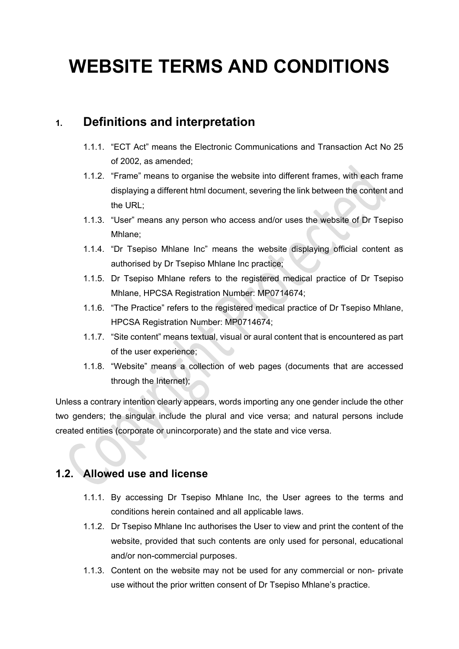# **WEBSITE TERMS AND CONDITIONS**

# **1. Definitions and interpretation**

- 1.1.1. "ECT Act" means the Electronic Communications and Transaction Act No 25 of 2002, as amended;
- 1.1.2. "Frame" means to organise the website into different frames, with each frame displaying a different html document, severing the link between the content and the URL;
- 1.1.3. "User" means any person who access and/or uses the website of Dr Tsepiso Mhlane;
- 1.1.4. "Dr Tsepiso Mhlane Inc" means the website displaying official content as authorised by Dr Tsepiso Mhlane Inc practice;
- 1.1.5. Dr Tsepiso Mhlane refers to the registered medical practice of Dr Tsepiso Mhlane, HPCSA Registration Number: MP0714674;
- 1.1.6. "The Practice" refers to the registered medical practice of Dr Tsepiso Mhlane, HPCSA Registration Number: MP0714674;
- 1.1.7. "Site content" means textual, visual or aural content that is encountered as part of the user experience;
- 1.1.8. "Website" means a collection of web pages (documents that are accessed through the Internet);

Unless a contrary intention clearly appears, words importing any one gender include the other two genders; the singular include the plural and vice versa; and natural persons include created entities (corporate or unincorporate) and the state and vice versa.

## **1.2. Allowed use and license**

- 1.1.1. By accessing Dr Tsepiso Mhlane Inc, the User agrees to the terms and conditions herein contained and all applicable laws.
- 1.1.2. Dr Tsepiso Mhlane Inc authorises the User to view and print the content of the website, provided that such contents are only used for personal, educational and/or non-commercial purposes.
- 1.1.3. Content on the website may not be used for any commercial or non- private use without the prior written consent of Dr Tsepiso Mhlane's practice.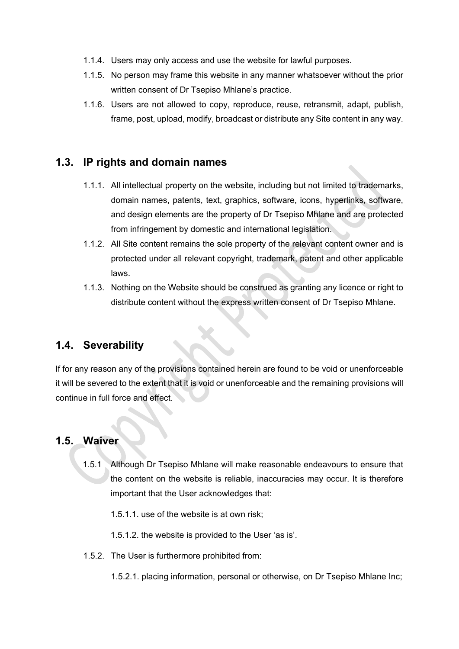- 1.1.4. Users may only access and use the website for lawful purposes.
- 1.1.5. No person may frame this website in any manner whatsoever without the prior written consent of Dr Tsepiso Mhlane's practice.
- 1.1.6. Users are not allowed to copy, reproduce, reuse, retransmit, adapt, publish, frame, post, upload, modify, broadcast or distribute any Site content in any way.

## **1.3. IP rights and domain names**

- 1.1.1. All intellectual property on the website, including but not limited to trademarks, domain names, patents, text, graphics, software, icons, hyperlinks, software, and design elements are the property of Dr Tsepiso Mhlane and are protected from infringement by domestic and international legislation.
- 1.1.2. All Site content remains the sole property of the relevant content owner and is protected under all relevant copyright, trademark, patent and other applicable laws.
- 1.1.3. Nothing on the Website should be construed as granting any licence or right to distribute content without the express written consent of Dr Tsepiso Mhlane.

#### **1.4. Severability**

If for any reason any of the provisions contained herein are found to be void or unenforceable it will be severed to the extent that it is void or unenforceable and the remaining provisions will continue in full force and effect.

#### **1.5. Waiver**

1.5.1 Although Dr Tsepiso Mhlane will make reasonable endeavours to ensure that the content on the website is reliable, inaccuracies may occur. It is therefore important that the User acknowledges that:

1.5.1.1. use of the website is at own risk;

1.5.1.2. the website is provided to the User 'as is'.

1.5.2. The User is furthermore prohibited from:

1.5.2.1. placing information, personal or otherwise, on Dr Tsepiso Mhlane Inc;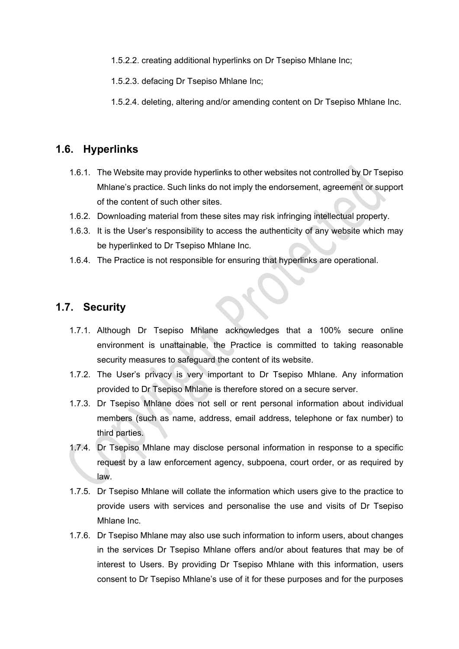1.5.2.2. creating additional hyperlinks on Dr Tsepiso Mhlane Inc;

1.5.2.3. defacing Dr Tsepiso Mhlane Inc;

1.5.2.4. deleting, altering and/or amending content on Dr Tsepiso Mhlane Inc.

#### **1.6. Hyperlinks**

- 1.6.1. The Website may provide hyperlinks to other websites not controlled by Dr Tsepiso Mhlane's practice. Such links do not imply the endorsement, agreement or support of the content of such other sites.
- 1.6.2. Downloading material from these sites may risk infringing intellectual property.
- 1.6.3. It is the User's responsibility to access the authenticity of any website which may be hyperlinked to Dr Tsepiso Mhlane Inc.
- 1.6.4. The Practice is not responsible for ensuring that hyperlinks are operational.

#### **1.7. Security**

- 1.7.1. Although Dr Tsepiso Mhlane acknowledges that a 100% secure online environment is unattainable, the Practice is committed to taking reasonable security measures to safeguard the content of its website.
- 1.7.2. The User's privacy is very important to Dr Tsepiso Mhlane. Any information provided to Dr Tsepiso Mhlane is therefore stored on a secure server.
- 1.7.3. Dr Tsepiso Mhlane does not sell or rent personal information about individual members (such as name, address, email address, telephone or fax number) to third parties.
- 1.7.4. Dr Tsepiso Mhlane may disclose personal information in response to a specific request by a law enforcement agency, subpoena, court order, or as required by law.
- 1.7.5. Dr Tsepiso Mhlane will collate the information which users give to the practice to provide users with services and personalise the use and visits of Dr Tsepiso Mhlane Inc.
- 1.7.6. Dr Tsepiso Mhlane may also use such information to inform users, about changes in the services Dr Tsepiso Mhlane offers and/or about features that may be of interest to Users. By providing Dr Tsepiso Mhlane with this information, users consent to Dr Tsepiso Mhlane's use of it for these purposes and for the purposes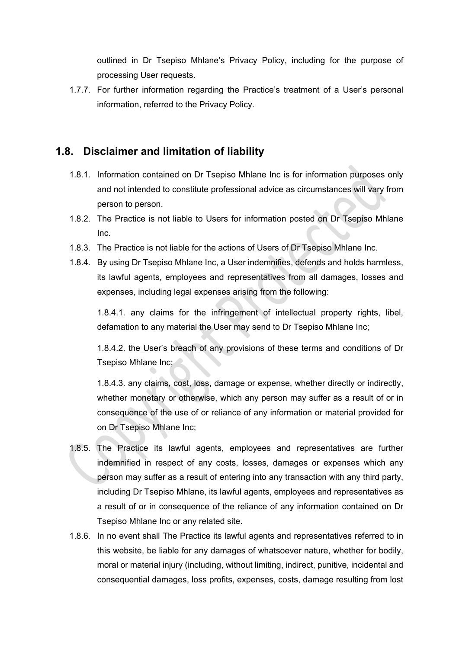outlined in Dr Tsepiso Mhlane's Privacy Policy, including for the purpose of processing User requests.

1.7.7. For further information regarding the Practice's treatment of a User's personal information, referred to the Privacy Policy.

#### **1.8. Disclaimer and limitation of liability**

- 1.8.1. Information contained on Dr Tsepiso Mhlane Inc is for information purposes only and not intended to constitute professional advice as circumstances will vary from person to person.
- 1.8.2. The Practice is not liable to Users for information posted on Dr Tsepiso Mhlane Inc.
- 1.8.3. The Practice is not liable for the actions of Users of Dr Tsepiso Mhlane Inc.
- 1.8.4. By using Dr Tsepiso Mhlane Inc, a User indemnifies, defends and holds harmless, its lawful agents, employees and representatives from all damages, losses and expenses, including legal expenses arising from the following:

1.8.4.1. any claims for the infringement of intellectual property rights, libel, defamation to any material the User may send to Dr Tsepiso Mhlane Inc;

1.8.4.2. the User's breach of any provisions of these terms and conditions of Dr Tsepiso Mhlane Inc;

1.8.4.3. any claims, cost, loss, damage or expense, whether directly or indirectly, whether monetary or otherwise, which any person may suffer as a result of or in consequence of the use of or reliance of any information or material provided for on Dr Tsepiso Mhlane Inc;

- 1.8.5. The Practice its lawful agents, employees and representatives are further indemnified in respect of any costs, losses, damages or expenses which any person may suffer as a result of entering into any transaction with any third party, including Dr Tsepiso Mhlane, its lawful agents, employees and representatives as a result of or in consequence of the reliance of any information contained on Dr Tsepiso Mhlane Inc or any related site.
- 1.8.6. In no event shall The Practice its lawful agents and representatives referred to in this website, be liable for any damages of whatsoever nature, whether for bodily, moral or material injury (including, without limiting, indirect, punitive, incidental and consequential damages, loss profits, expenses, costs, damage resulting from lost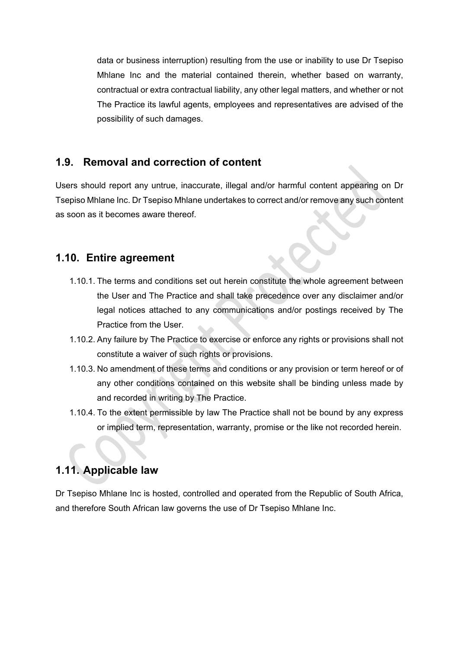data or business interruption) resulting from the use or inability to use Dr Tsepiso Mhlane Inc and the material contained therein, whether based on warranty, contractual or extra contractual liability, any other legal matters, and whether or not The Practice its lawful agents, employees and representatives are advised of the possibility of such damages.

#### **1.9. Removal and correction of content**

Users should report any untrue, inaccurate, illegal and/or harmful content appearing on Dr Tsepiso Mhlane Inc. Dr Tsepiso Mhlane undertakes to correct and/or remove any such content as soon as it becomes aware thereof.

#### **1.10. Entire agreement**

- 1.10.1. The terms and conditions set out herein constitute the whole agreement between the User and The Practice and shall take precedence over any disclaimer and/or legal notices attached to any communications and/or postings received by The Practice from the User.
- 1.10.2. Any failure by The Practice to exercise or enforce any rights or provisions shall not constitute a waiver of such rights or provisions.
- 1.10.3. No amendment of these terms and conditions or any provision or term hereof or of any other conditions contained on this website shall be binding unless made by and recorded in writing by The Practice.
- 1.10.4. To the extent permissible by law The Practice shall not be bound by any express or implied term, representation, warranty, promise or the like not recorded herein.

## **1.11. Applicable law**

Dr Tsepiso Mhlane Inc is hosted, controlled and operated from the Republic of South Africa, and therefore South African law governs the use of Dr Tsepiso Mhlane Inc.